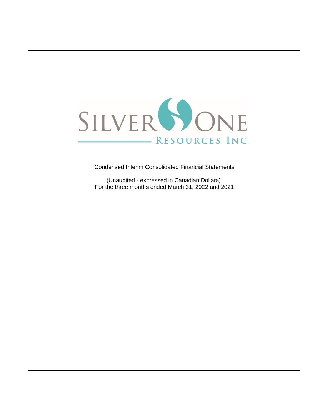

Condensed Interim Consolidated Financial Statements

(Unaudited - expressed in Canadian Dollars) For the three months ended March 31, 2022 and 2021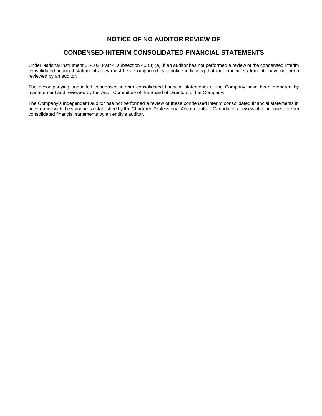## **NOTICE OF NO AUDITOR REVIEW OF**

## **CONDENSED INTERIM CONSOLIDATED FINANCIAL STATEMENTS**

Under National Instrument 51-102, Part 4, subsection 4.3(3) (a), if an auditor has not performed a review of the condensed interim consolidated financial statements they must be accompanied by a notice indicating that the financial statements have not been reviewed by an auditor.

The accompanying unaudited condensed interim consolidated financial statements of the Company have been prepared by management and reviewed by the Audit Committee of the Board of Directors of the Company.

The Company's independent auditor has not performed a review of these condensed interim consolidated financial statements in accordance with the standards established by the Chartered Professional Accountants of Canada for a review of condensed interim consolidated financial statements by an entity's auditor.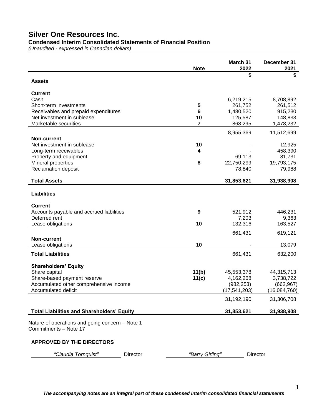**Condensed Interim Consolidated Statements of Financial Position**

*(Unaudited - expressed in Canadian dollars)*

|                                                                          | <b>Note</b>     | March 31<br>2022     | December 31<br>2021  |
|--------------------------------------------------------------------------|-----------------|----------------------|----------------------|
| <b>Assets</b>                                                            |                 | \$                   | \$                   |
|                                                                          |                 |                      |                      |
| <b>Current</b><br>Cash                                                   |                 |                      |                      |
| Short-term investments                                                   | 5               | 6,219,215<br>261,752 | 8,708,892<br>261,512 |
| Receivables and prepaid expenditures                                     | 6               | 1,480,520            | 915,230              |
| Net investment in sublease                                               | 10              | 125,587              | 148,833              |
| Marketable securities                                                    | $\overline{7}$  | 868,295              | 1,478,232            |
|                                                                          |                 | 8,955,369            | 11,512,699           |
| <b>Non-current</b>                                                       |                 |                      |                      |
| Net investment in sublease                                               | 10              |                      | 12,925               |
| Long-term receivables                                                    | 4               | 69,113               | 458,390<br>81,731    |
| Property and equipment<br>Mineral properties                             | 8               | 22,750,299           | 19,793,175           |
| Reclamation deposit                                                      |                 | 78,840               | 79,988               |
| <b>Total Assets</b>                                                      |                 | 31,853,621           | 31,938,908           |
|                                                                          |                 |                      |                      |
| <b>Liabilities</b>                                                       |                 |                      |                      |
| <b>Current</b>                                                           |                 |                      |                      |
| Accounts payable and accrued liabilities                                 | 9               | 521,912              | 446,231              |
| Deferred rent                                                            |                 | 7,203                | 9,363                |
| Lease obligations                                                        | 10              | 132,316              | 163,527              |
|                                                                          |                 | 661,431              | 619,121              |
| Non-current<br>Lease obligations                                         | 10              |                      | 13,079               |
| <b>Total Liabilities</b>                                                 |                 | 661,431              | 632,200              |
|                                                                          |                 |                      |                      |
| <b>Shareholders' Equity</b>                                              |                 |                      |                      |
| Share capital                                                            | 11(b)           | 45,553,378           | 44,315,713           |
| Share-based payment reserve                                              | 11(c)           | 4,162,268            | 3,738,722            |
| Accumulated other comprehensive income                                   |                 | (982, 253)           | (662, 967)           |
| Accumulated deficit                                                      |                 | (17, 541, 203)       | (16,084,760)         |
|                                                                          |                 | 31,192,190           | 31,306,708           |
| <b>Total Liabilities and Shareholders' Equity</b>                        |                 | 31,853,621           | 31,938,908           |
| Nature of operations and going concern - Note 1<br>Commitments - Note 17 |                 |                      |                      |
| <b>APPROVED BY THE DIRECTORS</b>                                         |                 |                      |                      |
| "Claudia Tornquist"<br>Director                                          | "Barry Girling" | Director             |                      |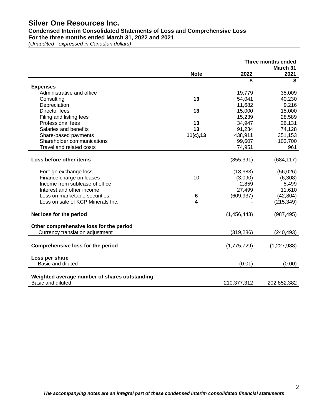## **Condensed Interim Consolidated Statements of Loss and Comprehensive Loss For the three months ended March 31, 2022 and 2021**

*(Unaudited - expressed in Canadian dollars)*

|                                               |             |             | Three months ended<br>March 31 |
|-----------------------------------------------|-------------|-------------|--------------------------------|
|                                               | <b>Note</b> | 2022        | 2021                           |
|                                               |             | \$          | \$                             |
| <b>Expenses</b>                               |             |             |                                |
| Administrative and office                     |             | 19,779      | 35,009                         |
| Consulting                                    | 13          | 54,041      | 40,230                         |
| Depreciation                                  |             | 11,682      | 9,216                          |
| Director fees                                 | 13          | 15,000      | 15,000                         |
| Filing and listing fees                       |             | 15,239      | 28,589                         |
| Professional fees                             | 13          | 34,947      | 26,131                         |
| Salaries and benefits                         | 13          | 91,234      | 74,128                         |
| Share-based payments                          | 11(c), 13   | 438,911     | 351,153                        |
| Shareholder communications                    |             | 99,607      | 103,700                        |
| Travel and related costs                      |             | 74,951      | 961                            |
| Loss before other items                       |             | (855, 391)  | (684, 117)                     |
| Foreign exchange loss                         |             | (18, 383)   | (56,026)                       |
| Finance charge on leases                      | 10          | (3,090)     | (6,308)                        |
| Income from sublease of office                |             | 2,859       | 5,499                          |
| Interest and other income                     |             | 27,499      | 11,610                         |
| Loss on marketable securities                 | 6           | (609, 937)  | (42, 804)                      |
| Loss on sale of KCP Minerals Inc.             | 4           |             | (215, 349)                     |
| Net loss for the period                       |             | (1,456,443) | (987, 495)                     |
| Other comprehensive loss for the period       |             |             |                                |
| Currency translation adjustment               |             | (319, 286)  | (240, 493)                     |
| <b>Comprehensive loss for the period</b>      |             | (1,775,729) | (1,227,988)                    |
| Loss per share                                |             |             |                                |
| Basic and diluted                             |             | (0.01)      | (0.00)                         |
| Weighted average number of shares outstanding |             |             |                                |
| Basic and diluted                             |             | 210,377,312 | 202,852,382                    |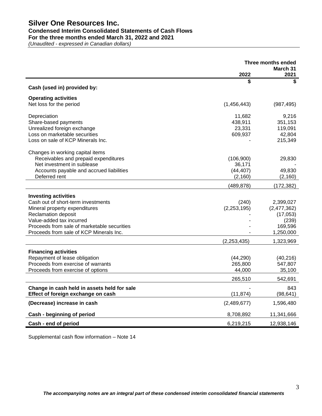## **Condensed Interim Consolidated Statements of Cash Flows**

**For the three months ended March 31, 2022 and 2021**

*(Unaudited - expressed in Canadian dollars)*

|                                             | <b>Three months ended</b> |                  |
|---------------------------------------------|---------------------------|------------------|
|                                             | 2022                      | March 31<br>2021 |
|                                             | \$                        | \$               |
| Cash (used in) provided by:                 |                           |                  |
| <b>Operating activities</b>                 |                           |                  |
| Net loss for the period                     | (1,456,443)               | (987, 495)       |
| Depreciation                                | 11,682                    | 9,216            |
| Share-based payments                        | 438,911                   | 351,153          |
| Unrealized foreign exchange                 | 23,331                    | 119,091          |
| Loss on marketable securities               | 609,937                   | 42,804           |
| Loss on sale of KCP Minerals Inc.           |                           | 215,349          |
| Changes in working capital items            |                           |                  |
| Receivables and prepaid expenditures        | (106, 900)                | 29,830           |
| Net investment in sublease                  | 36.171                    |                  |
| Accounts payable and accrued liabilities    | (44, 407)                 | 49,830           |
| Deferred rent                               | (2, 160)                  | (2, 160)         |
|                                             | (489, 878)                | (172, 382)       |
| <b>Investing activities</b>                 |                           |                  |
| Cash out of short-term investments          | (240)                     | 2,399,027        |
| Mineral property expenditures               | (2, 253, 195)             | (2,477,362)      |
| <b>Reclamation deposit</b>                  |                           | (17,053)         |
| Value-added tax incurred                    |                           | (239)            |
| Proceeds from sale of marketable securities |                           | 169,596          |
| Proceeds from sale of KCP Minerals Inc.     |                           | 1,250,000        |
|                                             | (2, 253, 435)             | 1,323,969        |
| <b>Financing activities</b>                 |                           |                  |
| Repayment of lease obligation               | (44, 290)                 | (40, 216)        |
| Proceeds from exercise of warrants          | 265,800                   | 547,807          |
| Proceeds from exercise of options           | 44,000                    | 35,100           |
|                                             | 265,510                   | 542,691          |
| Change in cash held in assets held for sale |                           | 843              |
| Effect of foreign exchange on cash          | (11, 874)                 | (98, 641)        |
| (Decrease) increase in cash                 | (2,489,677)               | 1,596,480        |
| Cash - beginning of period                  | 8,708,892                 | 11,341,666       |
| Cash - end of period                        | 6,219,215                 | 12,938,146       |

Supplemental cash flow information – Note 14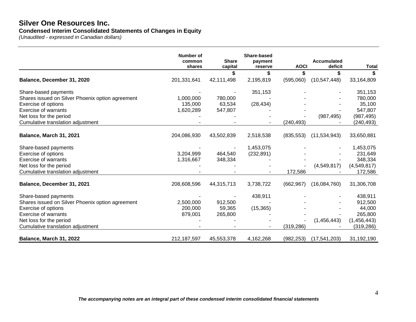## **Silver One Resources Inc. Condensed Interim Consolidated Statements of Changes in Equity**

*(Unaudited - expressed in Canadian dollars)*

|                                                  | <b>Number of</b><br>common | <b>Share</b> | Share-based<br>payment |             | <b>Accumulated</b> |              |
|--------------------------------------------------|----------------------------|--------------|------------------------|-------------|--------------------|--------------|
|                                                  | shares                     | capital      | reserve                | <b>AOCI</b> | deficit            | <b>Total</b> |
|                                                  |                            |              |                        |             | \$                 |              |
| Balance, December 31, 2020                       | 201,331,641                | 42,111,498   | 2,195,819              | (595,060)   | (10, 547, 448)     | 33,164,809   |
| Share-based payments                             |                            |              | 351,153                |             |                    | 351,153      |
| Shares issued on Silver Phoenix option agreement | 1,000,000                  | 780,000      |                        |             |                    | 780,000      |
| Exercise of options                              | 135,000                    | 63,534       | (28, 434)              |             |                    | 35,100       |
| <b>Exercise of warrants</b>                      | 1,620,289                  | 547,807      |                        |             |                    | 547,807      |
| Net loss for the period                          |                            |              |                        |             | (987, 495)         | (987, 495)   |
| Cumulative translation adjustment                |                            |              |                        | (240, 493)  |                    | (240,493)    |
| Balance, March 31, 2021                          | 204,086,930                | 43,502,839   | 2,518,538              | (835, 553)  | (11,534,943)       | 33,650,881   |
| Share-based payments                             |                            |              | 1,453,075              |             |                    | 1,453,075    |
| Exercise of options                              | 3,204,999                  | 464,540      | (232, 891)             |             |                    | 231,649      |
| <b>Exercise of warrants</b>                      | 1,316,667                  | 348,334      |                        |             |                    | 348,334      |
| Net loss for the period                          |                            |              |                        |             | (4,549,817)        | (4,549,817)  |
| Cumulative translation adjustment                |                            |              |                        | 172,586     |                    | 172,586      |
| Balance, December 31, 2021                       | 208,608,596                | 44,315,713   | 3,738,722              | (662, 967)  | (16,084,760)       | 31,306,708   |
| Share-based payments                             |                            |              | 438,911                |             |                    | 438,911      |
| Shares issued on Silver Phoenix option agreement | 2,500,000                  | 912,500      |                        |             |                    | 912,500      |
| Exercise of options                              | 200,000                    | 59,365       | (15, 365)              |             |                    | 44,000       |
| <b>Exercise of warrants</b>                      | 879,001                    | 265,800      |                        |             |                    | 265,800      |
| Net loss for the period                          |                            |              |                        |             | (1,456,443)        | (1,456,443)  |
| Cumulative translation adjustment                |                            |              |                        | (319, 286)  |                    | (319, 286)   |
| Balance, March 31, 2022                          | 212,187,597                | 45,553,378   | 4,162,268              | (982, 253)  | (17, 541, 203)     | 31,192,190   |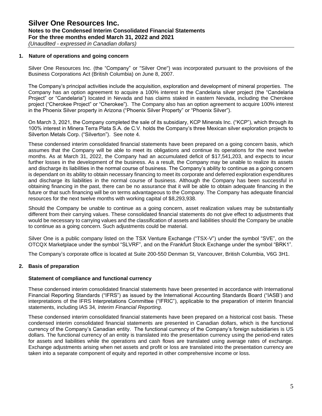### **1. Nature of operations and going concern**

Silver One Resources Inc. (the "Company" or "Silver One") was incorporated pursuant to the provisions of the Business Corporations Act (British Columbia) on June 8, 2007.

The Company's principal activities include the acquisition, exploration and development of mineral properties. The Company has an option agreement to acquire a 100% interest in the Candelaria silver project (the "Candelaria Project" or "Candelaria") located in Nevada and has claims staked in eastern Nevada, including the Cherokee project ("Cherokee Project" or "Cherokee"). The Company also has an option agreement to acquire 100% interest in the Phoenix Silver property in Arizona ("Phoenix Silver Property" or "Phoenix Silver").

On March 3, 2021, the Company completed the sale of its subsidiary, KCP Minerals Inc. ("KCP"), which through its 100% interest in Minera Terra Plata S.A. de C.V. holds the Company's three Mexican silver exploration projects to Silverton Metals Corp. ("Silverton"). See note 4.

These condensed interim consolidated financial statements have been prepared on a going concern basis, which assumes that the Company will be able to meet its obligations and continue its operations for the next twelve months. As at March 31, 2022, the Company had an accumulated deficit of \$17,541,203, and expects to incur further losses in the development of the business. As a result, the Company may be unable to realize its assets and discharge its liabilities in the normal course of business. The Company's ability to continue as a going concern is dependant on its ability to obtain necessary financing to meet its corporate and deferred exploration expenditures and discharge its liabilities in the normal course of business. Although the Company has been successful in obtaining financing in the past, there can be no assurance that it will be able to obtain adequate financing in the future or that such financing will be on terms advantageous to the Company. The Company has adequate financial resources for the next twelve months with working capital of \$8,293,938.

Should the Company be unable to continue as a going concern, asset realization values may be substantially different from their carrying values. These consolidated financial statements do not give effect to adjustments that would be necessary to carrying values and the classification of assets and liabilities should the Company be unable to continue as a going concern. Such adjustments could be material.

Silver One is a public company listed on the TSX Venture Exchange ("TSX-V") under the symbol "SVE", on the OTCQX Marketplace under the symbol "SLVRF", and on the Frankfurt Stock Exchange under the symbol "BRK1".

The Company's corporate office is located at Suite 200-550 Denman St, Vancouver, British Columbia, V6G 3H1.

## **2. Basis of preparation**

#### **Statement of compliance and functional currency**

These condensed interim consolidated financial statements have been presented in accordance with International Financial Reporting Standards ("IFRS") as issued by the International Accounting Standards Board ("IASB') and interpretations of the IFRS Interpretations Committee ("IFRIC"), applicable to the preparation of interim financial statements, including IAS 34*, Interim Financial Reporting*.

These condensed interim consolidated financial statements have been prepared on a historical cost basis. These condensed interim consolidated financial statements are presented in Canadian dollars, which is the functional currency of the Company's Canadian entity. The functional currency of the Company's foreign subsidiaries is US dollars. The functional currency of an entity is translated into the presentation currency using the period-end rates for assets and liabilities while the operations and cash flows are translated using average rates of exchange. Exchange adjustments arising when net assets and profit or loss are translated into the presentation currency are taken into a separate component of equity and reported in other comprehensive income or loss.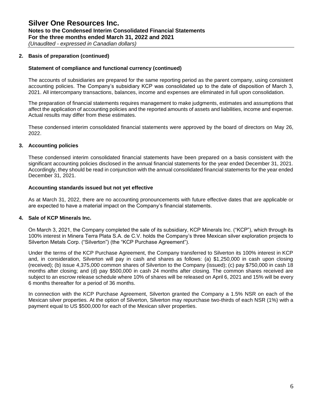# **Silver One Resources Inc. Notes to the Condensed Interim Consolidated Financial Statements For the three months ended March 31, 2022 and 2021**

*(Unaudited - expressed in Canadian dollars)*

## **2. Basis of preparation (continued)**

## **Statement of compliance and functional currency (continued)**

The accounts of subsidiaries are prepared for the same reporting period as the parent company, using consistent accounting policies. The Company's subsidiary KCP was consolidated up to the date of disposition of March 3, 2021. All intercompany transactions, balances, income and expenses are eliminated in full upon consolidation.

The preparation of financial statements requires management to make judgments, estimates and assumptions that affect the application of accounting policies and the reported amounts of assets and liabilities, income and expense. Actual results may differ from these estimates.

These condensed interim consolidated financial statements were approved by the board of directors on May 26, 2022.

## **3. Accounting policies**

These condensed interim consolidated financial statements have been prepared on a basis consistent with the significant accounting policies disclosed in the annual financial statements for the year ended December 31, 2021. Accordingly, they should be read in conjunction with the annual consolidated financial statements for the year ended December 31, 2021.

### **Accounting standards issued but not yet effective**

As at March 31, 2022, there are no accounting pronouncements with future effective dates that are applicable or are expected to have a material impact on the Company's financial statements.

## **4. Sale of KCP Minerals Inc.**

On March 3, 2021, the Company completed the sale of its subsidiary, KCP Minerals Inc. ("KCP"), which through its 100% interest in Minera Terra Plata S.A. de C.V. holds the Company's three Mexican silver exploration projects to Silverton Metals Corp. ("Silverton") (the "KCP Purchase Agreement").

Under the terms of the KCP Purchase Agreement, the Company transferred to Silverton its 100% interest in KCP and, in consideration, Silverton will pay in cash and shares as follows: (a) \$1,250,000 in cash upon closing (received); (b) issue 4,375,000 common shares of Silverton to the Company (issued); (c) pay \$750,000 in cash 18 months after closing; and (d) pay \$500,000 in cash 24 months after closing. The common shares received are subject to an escrow release schedule where 10% of shares will be released on April 6, 2021 and 15% will be every 6 months thereafter for a period of 36 months.

In connection with the KCP Purchase Agreement, Silverton granted the Company a 1.5% NSR on each of the Mexican silver properties. At the option of Silverton, Silverton may repurchase two-thirds of each NSR (1%) with a payment equal to US \$500,000 for each of the Mexican silver properties.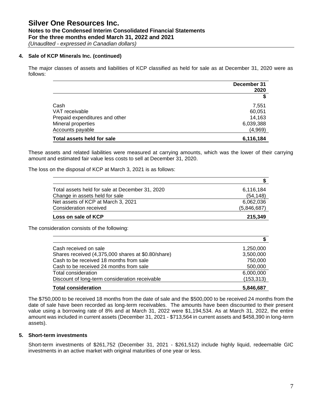## **Notes to the Condensed Interim Consolidated Financial Statements For the three months ended March 31, 2022 and 2021**

*(Unaudited - expressed in Canadian dollars)*

### **4. Sale of KCP Minerals Inc. (continued)**

The major classes of assets and liabilities of KCP classified as held for sale as at December 31, 2020 were as follows:

|                                | December 31 |
|--------------------------------|-------------|
|                                | 2020        |
|                                |             |
| Cash                           | 7,551       |
| VAT receivable                 | 60,051      |
| Prepaid expenditures and other | 14,163      |
| Mineral properties             | 6,039,388   |
| Accounts payable               | (4,969)     |
| Total assets held for sale     | 6,116,184   |

These assets and related liabilities were measured at carrying amounts, which was the lower of their carrying amount and estimated fair value less costs to sell at December 31, 2020.

The loss on the disposal of KCP at March 3, 2021 is as follows:

| Total assets held for sale at December 31, 2020 | 6,116,184   |
|-------------------------------------------------|-------------|
| Change in assets held for sale                  | (54, 148)   |
| Net assets of KCP at March 3, 2021              | 6.062.036   |
| Consideration received                          | (5,846,687) |
| Loss on sale of KCP                             | 215,349     |

The consideration consists of the following:

| Cash received on sale                              | 1,250,000  |
|----------------------------------------------------|------------|
| Shares received (4,375,000 shares at \$0.80/share) | 3,500,000  |
| Cash to be received 18 months from sale            | 750,000    |
| Cash to be received 24 months from sale            | 500,000    |
| Total consideration                                | 6,000,000  |
| Discount of long-term consideration receivable     | (153, 313) |
| <b>Total consideration</b>                         | 5,846,687  |

The \$750,000 to be received 18 months from the date of sale and the \$500,000 to be received 24 months from the date of sale have been recorded as long-term receivables. The amounts have been discounted to their present value using a borrowing rate of 8% and at March 31, 2022 were \$1,194,534. As at March 31, 2022, the entire amount was included in current assets (December 31, 2021 - \$713,564 in current assets and \$458,390 in long-term assets).

### **5. Short-term investments**

Short-term investments of \$261,752 (December 31, 2021 - \$261,512) include highly liquid, redeemable GIC investments in an active market with original maturities of one year or less.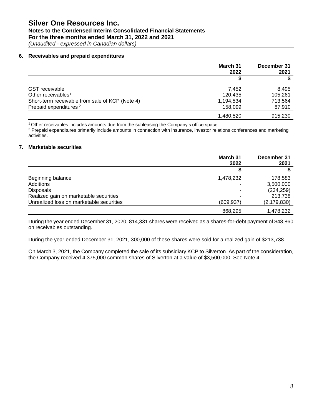## **Notes to the Condensed Interim Consolidated Financial Statements For the three months ended March 31, 2022 and 2021**

*(Unaudited - expressed in Canadian dollars)*

### **6. Receivables and prepaid expenditures**

|                                                 | March 31<br>2022 | December 31<br>2021 |
|-------------------------------------------------|------------------|---------------------|
|                                                 | S                |                     |
| <b>GST</b> receivable                           | 7.452            | 8.495               |
| Other receivables <sup>1</sup>                  | 120.435          | 105.261             |
| Short-term receivable from sale of KCP (Note 4) | 1,194,534        | 713.564             |
| Prepaid expenditures <sup>2</sup>               | 158.099          | 87,910              |
|                                                 | 1,480,520        | 915.230             |

<sup>1</sup>Other receivables includes amounts due from the subleasing the Company's office space.

<sup>2</sup> Prepaid expenditures primarily include amounts in connection with insurance, investor relations conferences and marketing activities.

#### **7. Marketable securities**

|                                          | March 31<br>2022 | December 31<br>2021 |
|------------------------------------------|------------------|---------------------|
|                                          |                  |                     |
| Beginning balance                        | 1,478,232        | 178,583             |
| Additions                                |                  | 3,500,000           |
| <b>Disposals</b>                         |                  | (234, 259)          |
| Realized gain on marketable securities   |                  | 213,738             |
| Unrealized loss on marketable securities | (609,937)        | (2,179,830)         |
|                                          | 868,295          | 1,478,232           |

During the year ended December 31, 2020, 814,331 shares were received as a shares-for-debt payment of \$48,860 on receivables outstanding.

During the year ended December 31, 2021, 300,000 of these shares were sold for a realized gain of \$213,738.

On March 3, 2021, the Company completed the sale of its subsidiary KCP to Silverton. As part of the consideration, the Company received 4,375,000 common shares of Silverton at a value of \$3,500,000. See Note 4.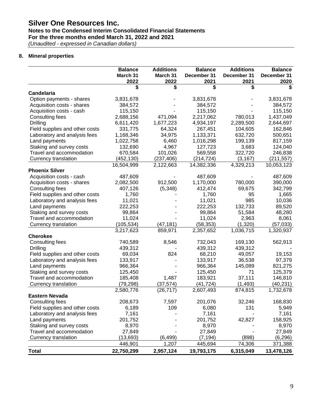## **Notes to the Condensed Interim Consolidated Financial Statements For the three months ended March 31, 2022 and 2021**

*(Unaudited - expressed in Canadian dollars)*

## **8. Mineral properties**

|                                | <b>Balance</b><br>March 31 | <b>Additions</b><br>March 31 | <b>Balance</b><br>December 31 | <b>Additions</b><br>December 31 | <b>Balance</b><br>December 31 |
|--------------------------------|----------------------------|------------------------------|-------------------------------|---------------------------------|-------------------------------|
|                                | 2022                       | 2022                         | 2021                          | 2021                            | 2020                          |
|                                |                            | \$                           | \$                            | \$                              |                               |
| Candelaria                     |                            |                              |                               |                                 |                               |
| Option payments - shares       | 3,831,678                  |                              | 3,831,678                     |                                 | 3,831,678                     |
| Acquisition costs - shares     | 384,572                    |                              | 384,572                       |                                 | 384,572                       |
| Acquisition costs - cash       | 115,150                    |                              | 115,150                       |                                 | 115,150                       |
| Consulting fees                | 2,688,156                  | 471,094                      | 2,217,062                     | 780,013                         | 1,437,049                     |
| Drilling                       | 6,611,420                  | 1,677,223                    | 4,934,197                     | 2,289,500                       | 2,644,697                     |
| Field supplies and other costs | 331,775                    | 64,324                       | 267,451                       | 104,605                         | 162,846                       |
| Laboratory and analysis fees   | 1,168,346                  | 34,975                       | 1,133,371                     | 632,720                         | 500,651                       |
| Land payments                  | 1,022,758                  | 6,460                        | 1,016,298                     | 199,139                         | 817,159                       |
| Staking and survey costs       | 132,690                    | 4,967                        | 127,723                       | 3,683                           | 124,040                       |
| Travel and accommodation       | 670,584                    | 101,026                      | 569,558                       | 322,720                         | 246,838                       |
| Currency translation           | (452, 130)                 | (237, 406)                   | (214, 724)                    | (3, 167)                        | (211, 557)                    |
| <b>Phoenix Silver</b>          | 16,504,999                 | 2,122,663                    | 14,382,336                    | 4,329,213                       | 10,053,123                    |
| Acquisition costs - cash       | 487,609                    |                              | 487,609                       |                                 | 487,609                       |
| Acquisition costs - shares     | 2,082,500                  | 912,500                      | 1,170,000                     | 780,000                         | 390,000                       |
| Consulting fees                | 407,126                    | (5,348)                      | 412,474                       | 69,675                          | 342,799                       |
| Field supplies and other costs | 1,760                      |                              | 1,760                         | 95                              | 1,665                         |
| Laboratory and analysis fees   | 11,021                     |                              | 11,021                        | 985                             | 10,036                        |
| Land payments                  | 222,253                    |                              | 222,253                       | 132,733                         | 89,520                        |
| Staking and survey costs       | 99,864                     |                              | 99,864                        | 51,584                          | 48,280                        |
| Travel and accommodation       | 11,024                     |                              | 11,024                        | 2,963                           | 8,061                         |
| Currency translation           | (105, 534)                 | (47, 181)                    | (58, 353)                     | (1,320)                         | (57,033)                      |
|                                | 3,217,623                  | 859,971                      | 2,357,652                     | 1,036,715                       | 1,320,937                     |
| <b>Cherokee</b>                |                            |                              |                               |                                 |                               |
| Consulting fees                | 740,589                    | 8,546                        | 732,043                       | 169,130                         | 562,913                       |
| Drilling                       | 439,312                    |                              | 439,312                       | 439,312                         |                               |
| Field supplies and other costs | 69,034                     | 824                          | 68,210                        | 49,057                          | 19,153                        |
| Laboratory and analysis fees   | 133,917                    |                              | 133,917                       | 36,538                          | 97,379                        |
| Land payments                  | 966,364                    |                              | 966,364                       | 145,089                         | 821,275                       |
| Staking and survey costs       | 125,450                    |                              | 125,450                       | 71                              | 125,379                       |
| Travel and accommodation       | 185,408                    | 1,487                        | 183,921                       | 37,111                          | 146,810                       |
| Currency translation           | (79, 298)                  | (37, 574)                    | (41, 724)                     | (1, 493)                        | (40, 231)                     |
|                                | 2,580,776                  | (26, 717)                    | 2,607,493                     | 874,815                         | 1,732,678                     |
| <b>Eastern Nevada</b>          |                            |                              |                               |                                 |                               |
| Consulting fees                | 208,673                    | 7,597                        | 201,076                       | 32,246                          | 168,830                       |
| Field supplies and other costs | 6,189                      | 109                          | 6,080                         | 131                             | 5,949                         |
| Laboratory and analysis fees   | 7,161                      |                              | 7,161                         |                                 | 7,161                         |
| Land payments                  | 201,752                    |                              | 201,752                       | 42,827                          | 158,925                       |
| Staking and survey costs       | 8,970                      |                              | 8,970                         |                                 | 8,970                         |
| Travel and accommodation       | 27,849                     |                              | 27,849                        |                                 | 27,849                        |
| Currency translation           | (13,693)                   | (6, 499)                     | (7, 194)                      | (898)                           | (6, 296)                      |
|                                | 446,901                    | 1,207                        | 445,694                       | 74,306                          | 371,388                       |
| <b>Total</b>                   | 22,750,299                 | 2,957,124                    | 19,793,175                    | 6,315,049                       | 13,478,126                    |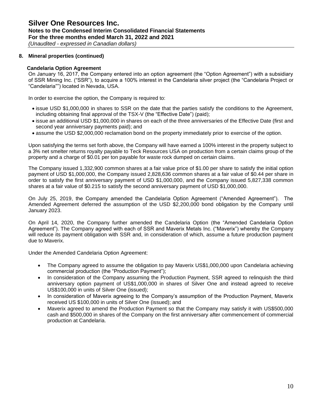## **Silver One Resources Inc. Notes to the Condensed Interim Consolidated Financial Statements For the three months ended March 31, 2022 and 2021**

*(Unaudited - expressed in Canadian dollars)*

### **8. Mineral properties (continued)**

#### **Candelaria Option Agreement**

On January 16, 2017, the Company entered into an option agreement (the "Option Agreement") with a subsidiary of SSR Mining Inc. ("SSR"), to acquire a 100% interest in the Candelaria silver project (the "Candelaria Project or "Candelaria"") located in Nevada, USA.

In order to exercise the option, the Company is required to:

- issue USD \$1,000,000 in shares to SSR on the date that the parties satisfy the conditions to the Agreement, including obtaining final approval of the TSX-V (the "Effective Date") (paid);
- issue an additional USD \$1,000,000 in shares on each of the three anniversaries of the Effective Date (first and second year anniversary payments paid); and
- assume the USD \$2,000,000 reclamation bond on the property immediately prior to exercise of the option.

Upon satisfying the terms set forth above, the Company will have earned a 100% interest in the property subject to a 3% net smelter returns royalty payable to Teck Resources USA on production from a certain claims group of the property and a charge of \$0.01 per ton payable for waste rock dumped on certain claims.

The Company issued 1,332,900 common shares at a fair value price of \$1.00 per share to satisfy the initial option payment of USD \$1,000,000, the Company issued 2,828,636 common shares at a fair value of \$0.44 per share in order to satisfy the first anniversary payment of USD \$1,000,000, and the Company issued 5,827,338 common shares at a fair value of \$0.215 to satisfy the second anniversary payment of USD \$1,000,000.

On July 25, 2019, the Company amended the Candelaria Option Agreement ("Amended Agreement"). The Amended Agreement deferred the assumption of the USD \$2,200,000 bond obligation by the Company until January 2023.

On April 14, 2020, the Company further amended the Candelaria Option (the "Amended Candelaria Option Agreement"). The Company agreed with each of SSR and Maverix Metals Inc. ("Maverix") whereby the Company will reduce its payment obligation with SSR and, in consideration of which, assume a future production payment due to Maverix.

Under the Amended Candelaria Option Agreement:

- The Company agreed to assume the obligation to pay Maverix US\$1,000,000 upon Candelaria achieving commercial production (the "Production Payment");
- In consideration of the Company assuming the Production Payment, SSR agreed to relinquish the third anniversary option payment of US\$1,000,000 in shares of Silver One and instead agreed to receive US\$100,000 in units of Silver One (issued);
- In consideration of Maverix agreeing to the Company's assumption of the Production Payment, Maverix received US \$100,000 in units of Silver One (issued); and
- Maverix agreed to amend the Production Payment so that the Company may satisfy it with US\$500,000 cash and \$500,000 in shares of the Company on the first anniversary after commencement of commercial production at Candelaria.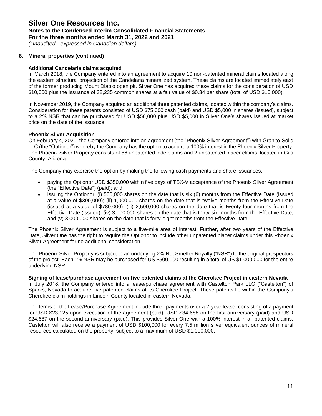# **Silver One Resources Inc. Notes to the Condensed Interim Consolidated Financial Statements For the three months ended March 31, 2022 and 2021**

*(Unaudited - expressed in Canadian dollars)*

### **8. Mineral properties (continued)**

### **Additional Candelaria claims acquired**

In March 2018, the Company entered into an agreement to acquire 10 non-patented mineral claims located along the eastern structural projection of the Candelaria mineralized system. These claims are located immediately east of the former producing Mount Diablo open pit. Silver One has acquired these claims for the consideration of USD \$10,000 plus the issuance of 38,235 common shares at a fair value of \$0.34 per share (total of USD \$10,000).

In November 2019, the Company acquired an additional three patented claims, located within the company's claims. Consideration for these patents consisted of USD \$75,000 cash (paid) and USD \$5,000 in shares (issued), subject to a 2% NSR that can be purchased for USD \$50,000 plus USD \$5,000 in Silver One's shares issued at market price on the date of the issuance.

### **Phoenix Silver Acquisition**

On February 4, 2020, the Company entered into an agreement (the "Phoenix Silver Agreement") with Granite-Solid LLC (the "Optionor") whereby the Company has the option to acquire a 100% interest in the Phoenix Silver Property. The Phoenix Silver Property consists of 86 unpatented lode claims and 2 unpatented placer claims, located in Gila County, Arizona.

The Company may exercise the option by making the following cash payments and share issuances:

- paying the Optionor USD \$350,000 within five days of TSX-V acceptance of the Phoenix Silver Agreement (the "Effective Date") (paid); and
- issuing the Optionor: (i) 500,000 shares on the date that is six (6) months from the Effective Date (issued at a value of \$390,000); (ii) 1,000,000 shares on the date that is twelve months from the Effective Date (issued at a value of \$780,000); (iii) 2,500,000 shares on the date that is twenty-four months from the Effective Date (issued); (iv) 3,000,000 shares on the date that is thirty-six months from the Effective Date; and (v) 3,000,000 shares on the date that is forty-eight months from the Effective Date.

The Phoenix Silver Agreement is subject to a five-mile area of interest. Further, after two years of the Effective Date, Silver One has the right to require the Optionor to include other unpatented placer claims under this Phoenix Silver Agreement for no additional consideration.

The Phoenix Silver Property is subject to an underlying 2% Net Smelter Royalty ("NSR") to the original prospectors of the project. Each 1% NSR may be purchased for US \$500,000 resulting in a total of US \$1,000,000 for the entire underlying NSR.

**Signing of lease/purchase agreement on five patented claims at the Cherokee Project in eastern Nevada** In July 2018, the Company entered into a lease/purchase agreement with Castelton Park LLC ("Castelton") of Sparks, Nevada to acquire five patented claims at its Cherokee Project. These patents lie within the Company's Cherokee claim holdings in Lincoln County located in eastern Nevada.

The terms of the Lease/Purchase Agreement include three payments over a 2-year lease, consisting of a payment for USD \$23,125 upon execution of the agreement (paid), USD \$34,688 on the first anniversary (paid) and USD \$24,687 on the second anniversary (paid). This provides Silver One with a 100% interest in all patented claims. Castelton will also receive a payment of USD \$100,000 for every 7.5 million silver equivalent ounces of mineral resources calculated on the property, subject to a maximum of USD \$1,000,000.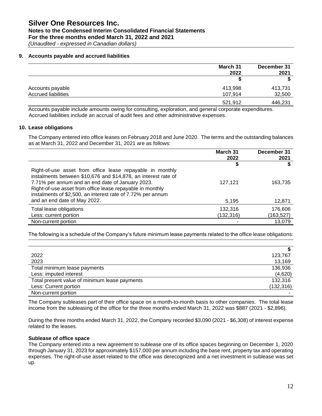# **Notes to the Condensed Interim Consolidated Financial Statements For the three months ended March 31, 2022 and 2021**

*(Unaudited - expressed in Canadian dollars)*

#### **9. Accounts payable and accrued liabilities**

|                            | March 31 | December 31 |
|----------------------------|----------|-------------|
|                            | 2022     | 2021        |
|                            |          |             |
| Accounts payable           | 413,998  | 413,731     |
| <b>Accrued liabilities</b> | 107,914  | 32,500      |
|                            | 521,912  | 446,231     |

Accounts payable include amounts owing for consulting, exploration, and general corporate expenditures. Accrued liabilities include an accrual of audit fees and other administrative expenses.

#### **10. Lease obligations**

The Company entered into office leases on February 2018 and June 2020. The terms and the outstanding balances as at March 31, 2022 and December 31, 2021 are as follows:

|                                                                                                                                                                                 | March 31<br>2022 | December 31<br>2021 |
|---------------------------------------------------------------------------------------------------------------------------------------------------------------------------------|------------------|---------------------|
|                                                                                                                                                                                 |                  |                     |
| Right-of-use asset from office lease repayable in monthly<br>instalments between \$10,676 and \$14,878, an interest rate of<br>7.71% per annum and an end date of January 2023. | 127,121          | 163,735             |
| Right-of-use asset from office lease repayable in monthly<br>instalments of \$2,500, an interest rate of 7.72% per annum<br>and an end date of May 2022.                        | 5,195            | 12,871              |
| Total lease obligations                                                                                                                                                         | 132,316          | 176,606             |
| Less: current portion                                                                                                                                                           | (132,316)        | (163, 527)          |
| Non-current portion                                                                                                                                                             |                  | 13,079              |

The following is a schedule of the Company's future minimum lease payments related to the office lease obligations:

| 2022                                          | 123,767    |
|-----------------------------------------------|------------|
| 2023                                          | 13,169     |
| Total minimum lease payments                  | 136,936    |
| Less: imputed interest                        | (4,620)    |
| Total present value of minimum lease payments | 132,316    |
| Less: Current portion                         | (132, 316) |
| Non-current portion                           |            |

The Company subleases part of their office space on a month-to-month basis to other companies. The total lease income from the subleasing of the office for the three months ended March 31, 2022 was \$887 (2021 - \$2,896).

During the three months ended March 31, 2022, the Company recorded \$3,090 (2021 - \$6,308) of interest expense related to the leases.

### **Sublease of office space**

The Company entered into a new agreement to sublease one of its office spaces beginning on December 1, 2020 through January 31, 2023 for approximately \$157,000 per annum including the base rent, property tax and operating expenses. The right-of-use asset related to the office was derecognized and a net investment in sublease was set up.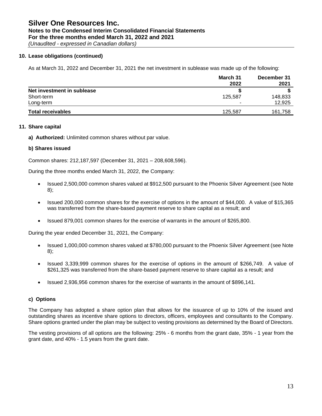## **Notes to the Condensed Interim Consolidated Financial Statements For the three months ended March 31, 2022 and 2021**

*(Unaudited - expressed in Canadian dollars)*

## **10. Lease obligations (continued)**

As at March 31, 2022 and December 31, 2021 the net investment in sublease was made up of the following:

|                            | March 31 | December 31 |
|----------------------------|----------|-------------|
|                            | 2022     | 2021        |
| Net investment in sublease |          |             |
| Short-term                 | 125.587  | 148,833     |
| Long-term                  |          | 12,925      |
| <b>Total receivables</b>   | 125.587  | 161,758     |

### **11. Share capital**

**a) Authorized:** Unlimited common shares without par value.

## **b) Shares issued**

Common shares: 212,187,597 (December 31, 2021 – 208,608,596).

During the three months ended March 31, 2022, the Company:

- Issued 2,500,000 common shares valued at \$912,500 pursuant to the Phoenix Silver Agreement (see Note 8);
- Issued 200,000 common shares for the exercise of options in the amount of \$44,000. A value of \$15,365 was transferred from the share-based payment reserve to share capital as a result; and
- Issued 879,001 common shares for the exercise of warrants in the amount of \$265,800.

During the year ended December 31, 2021, the Company:

- Issued 1,000,000 common shares valued at \$780,000 pursuant to the Phoenix Silver Agreement (see Note 8);
- Issued 3,339,999 common shares for the exercise of options in the amount of \$266,749. A value of \$261,325 was transferred from the share-based payment reserve to share capital as a result; and
- Issued 2,936,956 common shares for the exercise of warrants in the amount of \$896,141.

## **c) Options**

The Company has adopted a share option plan that allows for the issuance of up to 10% of the issued and outstanding shares as incentive share options to directors, officers, employees and consultants to the Company. Share options granted under the plan may be subject to vesting provisions as determined by the Board of Directors.

The vesting provisions of all options are the following: 25% - 6 months from the grant date, 35% - 1 year from the grant date, and 40% - 1.5 years from the grant date.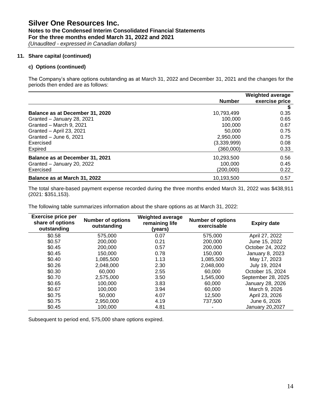## **Notes to the Condensed Interim Consolidated Financial Statements For the three months ended March 31, 2022 and 2021**

*(Unaudited - expressed in Canadian dollars)*

### **11. Share capital (continued)**

## **c) Options (continued)**

The Company's share options outstanding as at March 31, 2022 and December 31, 2021 and the changes for the periods then ended are as follows:

|                                 |               | <b>Weighted average</b> |
|---------------------------------|---------------|-------------------------|
|                                 | <b>Number</b> | exercise price          |
|                                 |               |                         |
| Balance as at December 31, 2020 | 10,793,499    | 0.35                    |
| Granted - January 28, 2021      | 100.000       | 0.65                    |
| Granted - March 9, 2021         | 100.000       | 0.67                    |
| Granted - April 23, 2021        | 50,000        | 0.75                    |
| Granted - June 6, 2021          | 2,950,000     | 0.75                    |
| Exercised                       | (3,339,999)   | 0.08                    |
| Expired                         | (360.000)     | 0.33                    |
| Balance as at December 31, 2021 | 10,293,500    | 0.56                    |
| Granted - January 20, 2022      | 100.000       | 0.45                    |
| Exercised                       | (200.000)     | 0.22                    |
| Balance as at March 31, 2022    | 10.193.500    | 0.57                    |

The total share-based payment expense recorded during the three months ended March 31, 2022 was \$438,911 (2021: \$351,153).

The following table summarizes information about the share options as at March 31, 2022:

| <b>Exercise price per</b><br>share of options<br>outstanding | <b>Number of options</b><br>outstanding | <b>Weighted average</b><br>remaining life<br>(years) | <b>Number of options</b><br>exercisable | <b>Expiry date</b>     |
|--------------------------------------------------------------|-----------------------------------------|------------------------------------------------------|-----------------------------------------|------------------------|
| \$0.58                                                       | 575,000                                 | 0.07                                                 | 575,000                                 | April 27, 2022         |
| \$0.57                                                       | 200,000                                 | 0.21                                                 | 200,000                                 | June 15, 2022          |
| \$0.45                                                       | 200,000                                 | 0.57                                                 | 200,000                                 | October 24, 2022       |
| \$0.45                                                       | 150,000                                 | 0.78                                                 | 150,000                                 | January 8, 2023        |
| \$0.40                                                       | 1,085,500                               | 1.13                                                 | 1,085,500                               | May 17, 2023           |
| \$0.26                                                       | 2,048,000                               | 2.30                                                 | 2,048,000                               | July 19, 2024          |
| \$0.30                                                       | 60,000                                  | 2.55                                                 | 60,000                                  | October 15, 2024       |
| \$0.70                                                       | 2,575,000                               | 3.50                                                 | 1,545,000                               | September 28, 2025     |
| \$0.65                                                       | 100,000                                 | 3.83                                                 | 60,000                                  | January 28, 2026       |
| \$0.67                                                       | 100,000                                 | 3.94                                                 | 60,000                                  | March 9, 2026          |
| \$0.75                                                       | 50,000                                  | 4.07                                                 | 12,500                                  | April 23, 2026         |
| \$0.75                                                       | 2,950,000                               | 4.19                                                 | 737,500                                 | June 6, 2026           |
| \$0.45                                                       | 100.000                                 | 4.81                                                 |                                         | <b>January 20,2027</b> |

Subsequent to period end, 575,000 share options expired.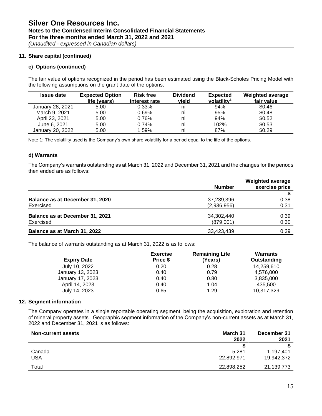## **Notes to the Condensed Interim Consolidated Financial Statements For the three months ended March 31, 2022 and 2021**

*(Unaudited - expressed in Canadian dollars)*

## **11. Share capital (continued)**

## **c) Options (continued)**

The fair value of options recognized in the period has been estimated using the Black-Scholes Pricing Model with the following assumptions on the grant date of the options:

| <b>Issue date</b> | <b>Expected Option</b> | <b>Risk free</b> | <b>Dividend</b> | <b>Expected</b>         | <b>Weighted average</b> |
|-------------------|------------------------|------------------|-----------------|-------------------------|-------------------------|
|                   | life (years)           | interest rate    | vield           | volatility <sup>1</sup> | fair value              |
| January 28, 2021  | 5.00                   | 0.33%            | nil             | 94%                     | \$0.46                  |
| March 9, 2021     | 5.00                   | 0.69%            | nil             | 95%                     | \$0.48                  |
| April 23, 2021    | 5.00                   | 0.76%            | nil             | 94%                     | \$0.52                  |
| June 6, 2021      | 5.00                   | 0.74%            | nil             | 102%                    | \$0.53                  |
| January 20, 2022  | 5.00                   | 1.59%            | nil             | 87%                     | \$0.29                  |

Note 1: The volatility used is the Company's own share volatility for a period equal to the life of the options.

#### **d) Warrants**

The Company's warrants outstanding as at March 31, 2022 and December 31, 2021 and the changes for the periods then ended are as follows:

|                                 |               | <b>Weighted average</b> |
|---------------------------------|---------------|-------------------------|
|                                 | <b>Number</b> | exercise price          |
|                                 |               |                         |
| Balance as at December 31, 2020 | 37,239,396    | 0.38                    |
| Exercised                       | (2,936,956)   | 0.31                    |
| Balance as at December 31, 2021 | 34,302,440    | 0.39                    |
| Exercised                       | (879,001)     | 0.30                    |
| Balance as at March 31, 2022    | 33,423,439    | 0.39                    |

The balance of warrants outstanding as at March 31, 2022 is as follows:

| <b>Expiry Date</b> | <b>Exercise</b><br>Price \$ | <b>Remaining Life</b><br>(Years) | Warrants<br>Outstanding |
|--------------------|-----------------------------|----------------------------------|-------------------------|
| July 10, 2022      | 0.20                        | 0.28                             | 14,259,610              |
| January 13, 2023   | 0.40                        | 0.79                             | 4,576,000               |
| January 17, 2023   | 0.40                        | 0.80                             | 3,835,000               |
| April 14, 2023     | 0.40                        | 1.04                             | 435.500                 |
| July 14, 2023      | 0.65                        | 1.29                             | 10,317,329              |

#### **12. Segment information**

The Company operates in a single reportable operating segment, being the acquisition, exploration and retention of mineral property assets. Geographic segment information of the Company's non-current assets as at March 31, 2022 and December 31, 2021 is as follows:

| <b>Non-current assets</b> | March 31   | December 31 |
|---------------------------|------------|-------------|
|                           | 2022       | 2021        |
|                           |            |             |
| Canada                    | 5.281      | 1,197,401   |
| USA                       | 22,892,971 | 19,942,372  |
| Total                     | 22,898,252 | 21,139,773  |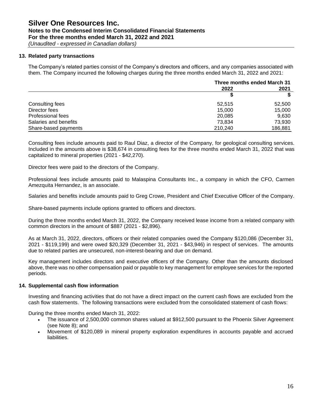## **Notes to the Condensed Interim Consolidated Financial Statements For the three months ended March 31, 2022 and 2021**

*(Unaudited - expressed in Canadian dollars)*

### **13. Related party transactions**

The Company's related parties consist of the Company's directors and officers, and any companies associated with them. The Company incurred the following charges during the three months ended March 31, 2022 and 2021:

|                       | Three months ended March 31 |         |
|-----------------------|-----------------------------|---------|
|                       | 2022                        | 2021    |
|                       |                             | S       |
| Consulting fees       | 52.515                      | 52,500  |
| Director fees         | 15.000                      | 15.000  |
| Professional fees     | 20,085                      | 9.630   |
| Salaries and benefits | 73.834                      | 73,930  |
| Share-based payments  | 210,240                     | 186,881 |

Consulting fees include amounts paid to Raul Diaz, a director of the Company, for geological consulting services. Included in the amounts above is \$38,674 in consulting fees for the three months ended March 31, 2022 that was capitalized to mineral properties (2021 - \$42,270).

Director fees were paid to the directors of the Company.

Professional fees include amounts paid to Malaspina Consultants Inc., a company in which the CFO, Carmen Amezquita Hernandez, is an associate.

Salaries and benefits include amounts paid to Greg Crowe, President and Chief Executive Officer of the Company.

Share-based payments include options granted to officers and directors.

During the three months ended March 31, 2022, the Company received lease income from a related company with common directors in the amount of \$887 (2021 - \$2,896).

As at March 31, 2022, directors, officers or their related companies owed the Company \$120,086 (December 31, 2021 - \$119,199) and were owed \$20,329 (December 31, 2021 - \$43,946) in respect of services. The amounts due to related parties are unsecured, non-interest-bearing and due on demand.

Key management includes directors and executive officers of the Company. Other than the amounts disclosed above, there was no other compensation paid or payable to key management for employee services for the reported periods.

#### **14. Supplemental cash flow information**

Investing and financing activities that do not have a direct impact on the current cash flows are excluded from the cash flow statements. The following transactions were excluded from the consolidated statement of cash flows:

During the three months ended March 31, 2022:

- The issuance of 2,500,000 common shares valued at \$912,500 pursuant to the Phoenix Silver Agreement (see Note 8); and
- Movement of \$120,089 in mineral property exploration expenditures in accounts payable and accrued liabilities.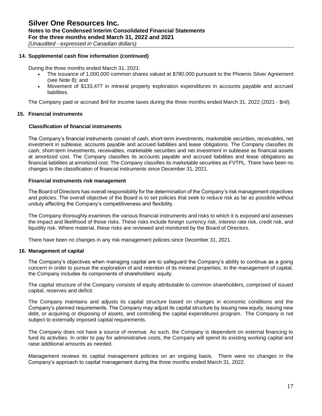### **14. Supplemental cash flow information (continued)**

During the three months ended March 31, 2021:

- The issuance of 1,000,000 common shares valued at \$780,000 pursuant to the Phoenix Silver Agreement (see Note 8); and
- Movement of \$133,477 in mineral property exploration expenditures in accounts payable and accrued liabilities.

The Company paid or accrued \$nil for income taxes during the three months ended March 31, 2022 (2021 - \$nil).

### **15. Financial instruments**

#### **Classification of financial instruments**

The Company's financial instruments consist of cash, short-term investments, marketable securities, receivables, net investment in sublease, accounts payable and accrued liabilities and lease obligations. The Company classifies its cash, short-term investments, receivables, marketable securities and net investment in sublease as financial assets at amortized cost. The Company classifies its accounts payable and accrued liabilities and lease obligations as financial liabilities at amortized cost. The Company classifies its marketable securities as FVTPL. There have been no changes to the classification of financial instruments since December 31, 2021.

#### **Financial instruments risk management**

The Board of Directors has overall responsibility for the determination of the Company's risk management objectives and policies. The overall objective of the Board is to set policies that seek to reduce risk as far as possible without unduly affecting the Company's competitiveness and flexibility.

The Company thoroughly examines the various financial instruments and risks to which it is exposed and assesses the impact and likelihood of those risks. These risks include foreign currency risk, interest rate risk, credit risk, and liquidity risk. Where material, these risks are reviewed and monitored by the Board of Directors.

There have been no changes in any risk management policies since December 31, 2021.

#### **16. Management of capital**

The Company's objectives when managing capital are to safeguard the Company's ability to continue as a going concern in order to pursue the exploration of and retention of its mineral properties. In the management of capital, the Company includes its components of shareholders' equity.

The capital structure of the Company consists of equity attributable to common shareholders, comprised of issued capital, reserves and deficit.

The Company maintains and adjusts its capital structure based on changes in economic conditions and the Company's planned requirements. The Company may adjust its capital structure by issuing new equity, issuing new debt, or acquiring or disposing of assets, and controlling the capital expenditures program. The Company is not subject to externally imposed capital requirements.

The Company does not have a source of revenue. As such, the Company is dependent on external financing to fund its activities. In order to pay for administrative costs, the Company will spend its existing working capital and raise additional amounts as needed.

Management reviews its capital management policies on an ongoing basis. There were no changes in the Company's approach to capital management during the three months ended March 31, 2022.